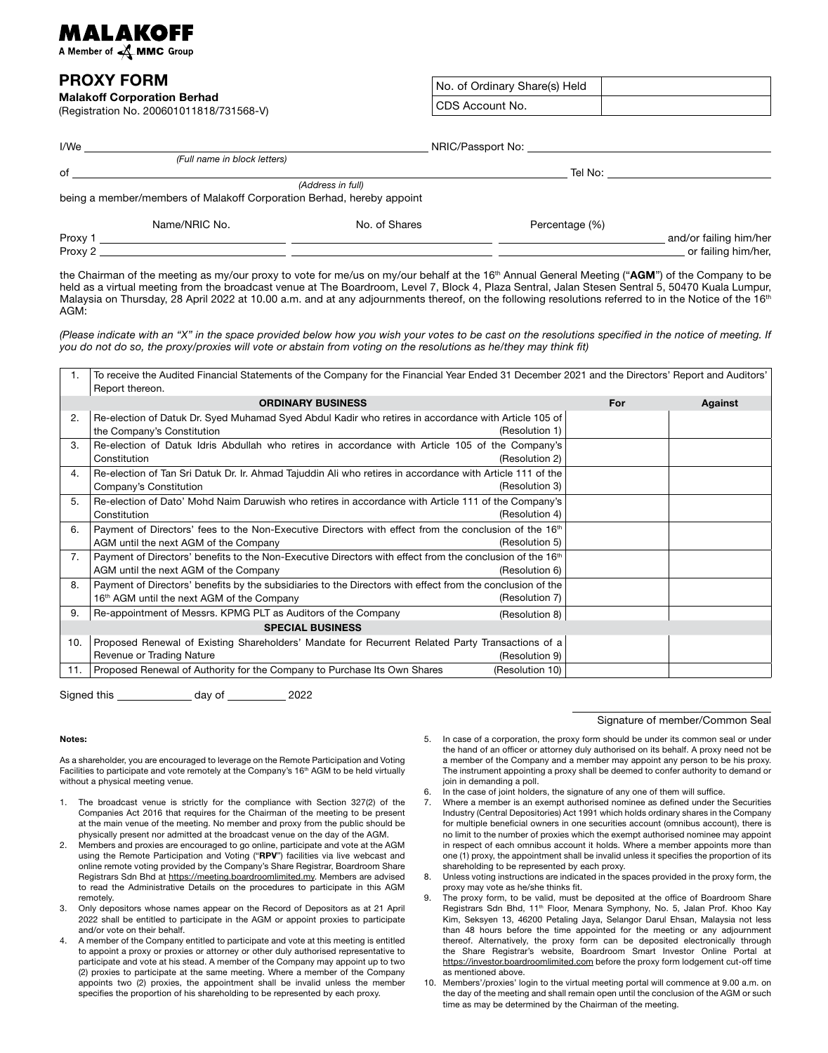## MALAKOFF

A Member of **A MMC** Group

## PROXY FORM

Malakoff Corporation Berhad (Registration No. 200601011818/731568-V) No. of Ordinary Share(s) Held CDS Account No.

| I/We    | NRIC/Passport No: Note that the state of the state of the state of the state of the state of the state of the state of the state of the state of the state of the state of the state of the state of the state of the state of |                   |                |                        |  |
|---------|--------------------------------------------------------------------------------------------------------------------------------------------------------------------------------------------------------------------------------|-------------------|----------------|------------------------|--|
|         | (Full name in block letters)                                                                                                                                                                                                   |                   |                |                        |  |
| of      |                                                                                                                                                                                                                                |                   | Tel No:        |                        |  |
|         |                                                                                                                                                                                                                                | (Address in full) |                |                        |  |
|         | being a member/members of Malakoff Corporation Berhad, hereby appoint                                                                                                                                                          |                   |                |                        |  |
|         | Name/NRIC No.                                                                                                                                                                                                                  | No. of Shares     | Percentage (%) |                        |  |
| Proxy 1 |                                                                                                                                                                                                                                |                   |                | and/or failing him/her |  |
| Proxy 2 |                                                                                                                                                                                                                                |                   |                | or failing him/her,    |  |

the Chairman of the meeting as my/our proxy to vote for me/us on my/our behalf at the 16<sup>th</sup> Annual General Meeting ("AGM") of the Company to be held as a virtual meeting from the broadcast venue at The Boardroom, Level 7, Block 4, Plaza Sentral, Jalan Stesen Sentral 5, 50470 Kuala Lumpur, Malaysia on Thursday, 28 April 2022 at 10.00 a.m. and at any adjournments thereof, on the following resolutions referred to in the Notice of the 16<sup>th</sup> AGM:

*(Please indicate with an "X" in the space provided below how you wish your votes to be cast on the resolutions specified in the notice of meeting. If you do not do so, the proxy/proxies will vote or abstain from voting on the resolutions as he/they may think fit)*

| 1.                      | To receive the Audited Financial Statements of the Company for the Financial Year Ended 31 December 2021 and the Directors' Report and Auditors'<br>Report thereon. |     |         |  |  |
|-------------------------|---------------------------------------------------------------------------------------------------------------------------------------------------------------------|-----|---------|--|--|
|                         | <b>ORDINARY BUSINESS</b>                                                                                                                                            | For | Against |  |  |
| 2.                      | Re-election of Datuk Dr. Syed Muhamad Syed Abdul Kadir who retires in accordance with Article 105 of                                                                |     |         |  |  |
|                         | the Company's Constitution<br>(Resolution 1)                                                                                                                        |     |         |  |  |
| 3.                      | Re-election of Datuk Idris Abdullah who retires in accordance with Article 105 of the Company's                                                                     |     |         |  |  |
|                         | Constitution<br>(Resolution 2)                                                                                                                                      |     |         |  |  |
| 4.                      | Re-election of Tan Sri Datuk Dr. Ir. Ahmad Tajuddin Ali who retires in accordance with Article 111 of the                                                           |     |         |  |  |
|                         | (Resolution 3)<br>Company's Constitution                                                                                                                            |     |         |  |  |
| 5.                      | Re-election of Dato' Mohd Naim Daruwish who retires in accordance with Article 111 of the Company's                                                                 |     |         |  |  |
|                         | (Resolution 4)<br>Constitution                                                                                                                                      |     |         |  |  |
| 6.                      | Payment of Directors' fees to the Non-Executive Directors with effect from the conclusion of the 16 <sup>th</sup>                                                   |     |         |  |  |
|                         | (Resolution 5)<br>AGM until the next AGM of the Company                                                                                                             |     |         |  |  |
| 7.                      | Payment of Directors' benefits to the Non-Executive Directors with effect from the conclusion of the 16 <sup>th</sup>                                               |     |         |  |  |
|                         | AGM until the next AGM of the Company<br>(Resolution 6)                                                                                                             |     |         |  |  |
| 8.                      | Payment of Directors' benefits by the subsidiaries to the Directors with effect from the conclusion of the                                                          |     |         |  |  |
|                         | (Resolution 7)<br>16th AGM until the next AGM of the Company                                                                                                        |     |         |  |  |
| 9.                      | Re-appointment of Messrs. KPMG PLT as Auditors of the Company<br>(Resolution 8)                                                                                     |     |         |  |  |
| <b>SPECIAL BUSINESS</b> |                                                                                                                                                                     |     |         |  |  |
| 10.                     | Proposed Renewal of Existing Shareholders' Mandate for Recurrent Related Party Transactions of a                                                                    |     |         |  |  |
|                         | Revenue or Trading Nature<br>(Resolution 9)                                                                                                                         |     |         |  |  |
| 11.                     | (Resolution 10)<br>Proposed Renewal of Authority for the Company to Purchase Its Own Shares                                                                         |     |         |  |  |

Signed this day of 2022

## Notes:

As a shareholder, you are encouraged to leverage on the Remote Participation and Voting Facilities to participate and vote remotely at the Company's 16<sup>th</sup> AGM to be held virtually without a physical meeting venue.

- 1. The broadcast venue is strictly for the compliance with Section 327(2) of the Companies Act 2016 that requires for the Chairman of the meeting to be present at the main venue of the meeting. No member and proxy from the public should be physically present nor admitted at the broadcast venue on the day of the AGM.
- 2. Members and proxies are encouraged to go online, participate and vote at the AGM using the Remote Participation and Voting ("RPV") facilities via live webcast and online remote voting provided by the Company's Share Registrar, Boardroom Share Registrars Sdn Bhd at https://meeting.boardroomlimited.my. Members are advised to read the Administrative Details on the procedures to participate in this AGM remotely.
- 3. Only depositors whose names appear on the Record of Depositors as at 21 April 2022 shall be entitled to participate in the AGM or appoint proxies to participate and/or vote on their behalf.
- 4. A member of the Company entitled to participate and vote at this meeting is entitled to appoint a proxy or proxies or attorney or other duly authorised representative to participate and vote at his stead. A member of the Company may appoint up to two (2) proxies to participate at the same meeting. Where a member of the Company appoints two (2) proxies, the appointment shall be invalid unless the member specifies the proportion of his shareholding to be represented by each proxy.

5. In case of a corporation, the proxy form should be under its common seal or under the hand of an officer or attorney duly authorised on its behalf. A proxy need not be a member of the Company and a member may appoint any person to be his proxy. The instrument appointing a proxy shall be deemed to confer authority to demand or join in demanding a poll.

Signature of member/Common Seal

- In the case of joint holders, the signature of any one of them will suffice.
- 7. Where a member is an exempt authorised nominee as defined under the Securities Industry (Central Depositories) Act 1991 which holds ordinary shares in the Company for multiple beneficial owners in one securities account (omnibus account), there is no limit to the number of proxies which the exempt authorised nominee may appoint in respect of each omnibus account it holds. Where a member appoints more than one (1) proxy, the appointment shall be invalid unless it specifies the proportion of its shareholding to be represented by each proxy.
- Unless voting instructions are indicated in the spaces provided in the proxy form, the proxy may vote as he/she thinks fit.
- 9. The proxy form, to be valid, must be deposited at the office of Boardroom Share Registrars Sdn Bhd, 11<sup>th</sup> Floor, Menara Symphony, No. 5, Jalan Prof. Khoo Kay Kim, Seksyen 13, 46200 Petaling Jaya, Selangor Darul Ehsan, Malaysia not less than 48 hours before the time appointed for the meeting or any adjournment thereof. Alternatively, the proxy form can be deposited electronically through the Share Registrar's website, Boardroom Smart Investor Online Portal at https://investor.boardroomlimited.com before the proxy form lodgement cut-off time as mentioned above.
- 10. Members'/proxies' login to the virtual meeting portal will commence at 9.00 a.m. on the day of the meeting and shall remain open until the conclusion of the AGM or such time as may be determined by the Chairman of the meeting.